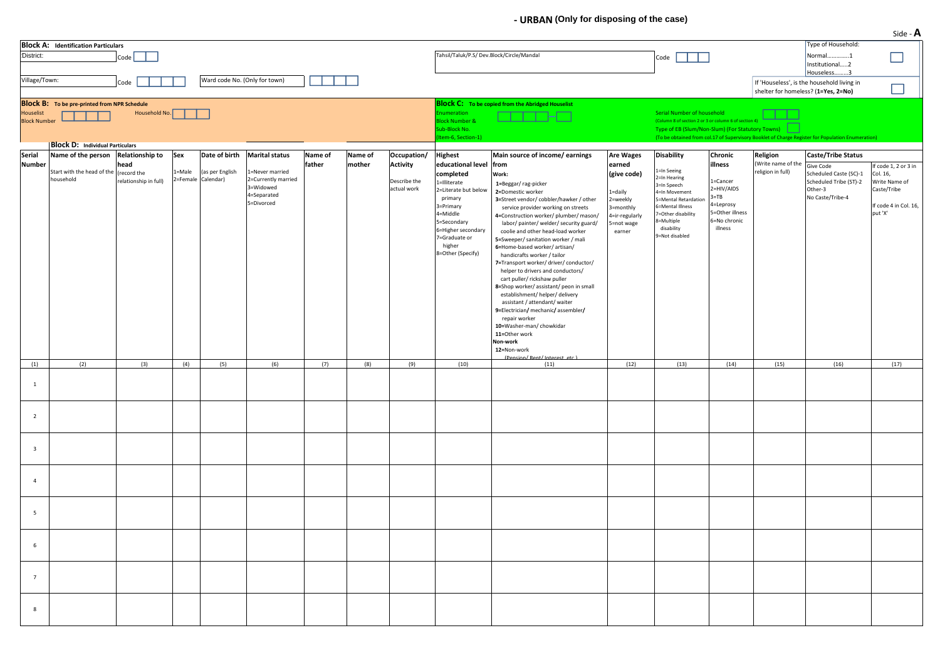## **‐ URBAN (Only for disposing of the case)**

| District:                        | <b>Block A: Identification Particulars</b>                                                    | Code                                         |               |                                                        |                                                                                                           |                   |                   |                                                               | Tahsil/Taluk/P.S/ Dev.Block/Circle/Mandal                                                                                                                                                                              |                                                                                                                                                                                                                                                                                                                                                                                                                                                                                                                                                                                                                                                                                                                                                                                           |                                                                                                                         | Code                                                                                                                                                                                                  |                                                                                                                     |                                                     | Type of Household:<br>Normal1<br>Institutional2<br>Houseless3                                                      | $300C$ $\rightarrow$ $\rightarrow$                                                               |
|----------------------------------|-----------------------------------------------------------------------------------------------|----------------------------------------------|---------------|--------------------------------------------------------|-----------------------------------------------------------------------------------------------------------|-------------------|-------------------|---------------------------------------------------------------|------------------------------------------------------------------------------------------------------------------------------------------------------------------------------------------------------------------------|-------------------------------------------------------------------------------------------------------------------------------------------------------------------------------------------------------------------------------------------------------------------------------------------------------------------------------------------------------------------------------------------------------------------------------------------------------------------------------------------------------------------------------------------------------------------------------------------------------------------------------------------------------------------------------------------------------------------------------------------------------------------------------------------|-------------------------------------------------------------------------------------------------------------------------|-------------------------------------------------------------------------------------------------------------------------------------------------------------------------------------------------------|---------------------------------------------------------------------------------------------------------------------|-----------------------------------------------------|--------------------------------------------------------------------------------------------------------------------|--------------------------------------------------------------------------------------------------|
| Village/Town:                    |                                                                                               | Code                                         |               | Ward code No. (Only for town)                          |                                                                                                           |                   |                   |                                                               |                                                                                                                                                                                                                        |                                                                                                                                                                                                                                                                                                                                                                                                                                                                                                                                                                                                                                                                                                                                                                                           |                                                                                                                         |                                                                                                                                                                                                       |                                                                                                                     | shelter for homeless? (1=Yes, 2=No)                 | If 'Houseless', is the household living in                                                                         |                                                                                                  |
| Houselist<br><b>Block Number</b> | <b>Block B:</b> To be pre-printed from NPR Schedule<br><b>Block D: Individual Particulars</b> | Household No.                                |               |                                                        |                                                                                                           |                   |                   |                                                               | numeration<br>Block Number &<br>ub-Block No.<br>tem-6, Section-1)                                                                                                                                                      | <b>Block C:</b> To be copied from the Abridged Houselist                                                                                                                                                                                                                                                                                                                                                                                                                                                                                                                                                                                                                                                                                                                                  |                                                                                                                         | Serial Number of household<br>(Column 8 of section 2 or 3 or column 6 of section<br>Type of EB (Slum/Non-Slum) (For Statutory Towns)                                                                  |                                                                                                                     |                                                     | (To be obtained from col.17 of Supervisory Booklet of Charge Register for Population Enumeration)                  |                                                                                                  |
| <b>Serial</b><br><b>Number</b>   | Name of the person Relationship to<br>Start with the head of the<br>household                 | head<br>(record the<br>relationship in full) | Sex<br>L=Male | Date of birth<br>(as per English<br>2=Female Calendar) | <b>Marital status</b><br>1=Never married<br>2=Currently married<br>3=Widowed<br>4=Separated<br>5=Divorced | Name of<br>father | Name of<br>mother | Occupation/<br><b>Activity</b><br>Describe the<br>actual work | <b>Highest</b><br>educational level from<br>completed<br>1=Illiterate<br>2=Literate but below<br>primary<br>3=Primary<br>4=Middle<br>5=Secondary<br>6=Higher secondary<br>7=Graduate or<br>higher<br>8=Other (Specify) | Main source of income/ earnings<br>Work:<br>1=Beggar/rag-picker<br>2=Domestic worker<br>3=Street vendor/cobbler/hawker/other<br>service provider working on streets<br>4=Construction worker/plumber/mason/<br>labor/painter/welder/security guard/<br>coolie and other head-load worker<br>5=Sweeper/ sanitation worker / mali<br>6=Home-based worker/artisan/<br>handicrafts worker / tailor<br>7=Transport worker/ driver/ conductor/<br>helper to drivers and conductors/<br>cart puller/ rickshaw puller<br>8=Shop worker/assistant/ peon in small<br>establishment/ helper/ delivery<br>assistant / attendant/ waiter<br>9=Electrician/ mechanic/assembler/<br>repair worker<br>10=Washer-man/chowkidar<br>11=Other work<br>Non-work<br>12=Non-work<br>(Pension/Rent/Interest_etc.) | <b>Are Wages</b><br>earned<br>(give code)<br>1=daily<br>2=weekly<br>3=monthly<br>4=ir-regularly<br>5=not wage<br>earner | <b>Disability</b><br>L=In Seeing<br>2=In Hearing<br>3=In Speech<br>I=In Movement<br>-Mental Retardation<br><b>S=Mental Illness</b><br>-Other disability<br>3=Multiple<br>disability<br>9=Not disabled | Chronic<br>illness<br>1=Cancer<br>2=HIV/AIDS<br>$3 = TB$<br>4=Leprosy<br>5=Other illness<br>6=No chronic<br>illness | Religion<br>(Write name of the<br>religion in full) | Caste/Tribe Status<br>Give Code<br>Scheduled Caste (SC)-1<br>Scheduled Tribe (ST)-2<br>Other-3<br>No Caste/Tribe-4 | code 1, 2 or 3 in<br>Col. 16,<br>Write Name of<br>Caste/Tribe<br>f code 4 in Col. 16,<br>put 'X' |
| (1)                              | (2)                                                                                           | (3)                                          | (4)           | (5)                                                    | (6)                                                                                                       | (7)               | (8)               | (9)                                                           | (10)                                                                                                                                                                                                                   | (11)                                                                                                                                                                                                                                                                                                                                                                                                                                                                                                                                                                                                                                                                                                                                                                                      | (12)                                                                                                                    | (13)                                                                                                                                                                                                  | (14)                                                                                                                | (15)                                                | (16)                                                                                                               | (17)                                                                                             |
| $\overline{1}$                   |                                                                                               |                                              |               |                                                        |                                                                                                           |                   |                   |                                                               |                                                                                                                                                                                                                        |                                                                                                                                                                                                                                                                                                                                                                                                                                                                                                                                                                                                                                                                                                                                                                                           |                                                                                                                         |                                                                                                                                                                                                       |                                                                                                                     |                                                     |                                                                                                                    |                                                                                                  |
| $\overline{2}$                   |                                                                                               |                                              |               |                                                        |                                                                                                           |                   |                   |                                                               |                                                                                                                                                                                                                        |                                                                                                                                                                                                                                                                                                                                                                                                                                                                                                                                                                                                                                                                                                                                                                                           |                                                                                                                         |                                                                                                                                                                                                       |                                                                                                                     |                                                     |                                                                                                                    |                                                                                                  |
| $\overline{\mathbf{3}}$          |                                                                                               |                                              |               |                                                        |                                                                                                           |                   |                   |                                                               |                                                                                                                                                                                                                        |                                                                                                                                                                                                                                                                                                                                                                                                                                                                                                                                                                                                                                                                                                                                                                                           |                                                                                                                         |                                                                                                                                                                                                       |                                                                                                                     |                                                     |                                                                                                                    |                                                                                                  |
| $\overline{4}$                   |                                                                                               |                                              |               |                                                        |                                                                                                           |                   |                   |                                                               |                                                                                                                                                                                                                        |                                                                                                                                                                                                                                                                                                                                                                                                                                                                                                                                                                                                                                                                                                                                                                                           |                                                                                                                         |                                                                                                                                                                                                       |                                                                                                                     |                                                     |                                                                                                                    |                                                                                                  |
| 5                                |                                                                                               |                                              |               |                                                        |                                                                                                           |                   |                   |                                                               |                                                                                                                                                                                                                        |                                                                                                                                                                                                                                                                                                                                                                                                                                                                                                                                                                                                                                                                                                                                                                                           |                                                                                                                         |                                                                                                                                                                                                       |                                                                                                                     |                                                     |                                                                                                                    |                                                                                                  |
| 6                                |                                                                                               |                                              |               |                                                        |                                                                                                           |                   |                   |                                                               |                                                                                                                                                                                                                        |                                                                                                                                                                                                                                                                                                                                                                                                                                                                                                                                                                                                                                                                                                                                                                                           |                                                                                                                         |                                                                                                                                                                                                       |                                                                                                                     |                                                     |                                                                                                                    |                                                                                                  |
| $7\overline{ }$                  |                                                                                               |                                              |               |                                                        |                                                                                                           |                   |                   |                                                               |                                                                                                                                                                                                                        |                                                                                                                                                                                                                                                                                                                                                                                                                                                                                                                                                                                                                                                                                                                                                                                           |                                                                                                                         |                                                                                                                                                                                                       |                                                                                                                     |                                                     |                                                                                                                    |                                                                                                  |
| 8                                |                                                                                               |                                              |               |                                                        |                                                                                                           |                   |                   |                                                               |                                                                                                                                                                                                                        |                                                                                                                                                                                                                                                                                                                                                                                                                                                                                                                                                                                                                                                                                                                                                                                           |                                                                                                                         |                                                                                                                                                                                                       |                                                                                                                     |                                                     |                                                                                                                    |                                                                                                  |

Side ‐**A**